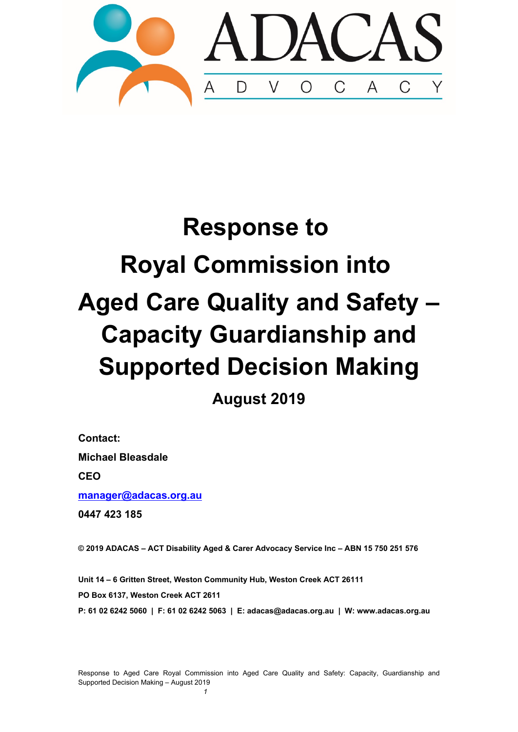

# **Response to Royal Commission into Aged Care Quality and Safety – Capacity Guardianship and Supported Decision Making August 2019**

**Contact: Michael Bleasdale CEO [manager@adacas.org.au](mailto:manager@adacas.org.au) 0447 423 185**

**© 2019 ADACAS – ACT Disability Aged & Carer Advocacy Service Inc – ABN 15 750 251 576**

**Unit 14 – 6 Gritten Street, Weston Community Hub, Weston Creek ACT 26111 PO Box 6137, Weston Creek ACT 2611 P: 61 02 6242 5060 | F: 61 02 6242 5063 | E: adacas@adacas.org.au | W: www.adacas.org.au**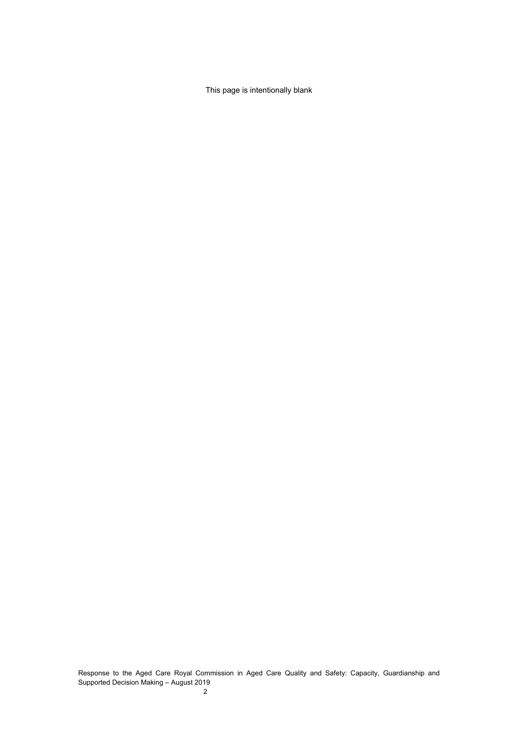This page is intentionally blank

Response to the Aged Care Royal Commission in Aged Care Quality and Safety: Capacity, Guardianship and Supported Decision Making – August 2019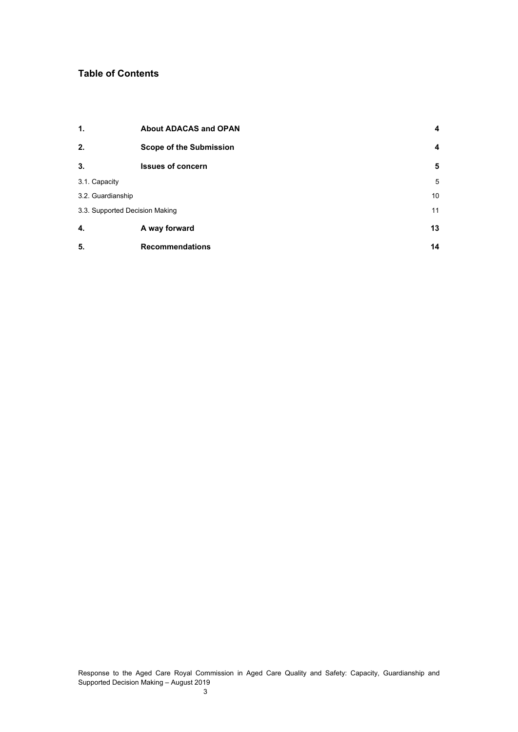#### **Table of Contents**

| 1.                             | <b>About ADACAS and OPAN</b>   | 4  |
|--------------------------------|--------------------------------|----|
| 2.                             | <b>Scope of the Submission</b> | 4  |
| 3.                             | <b>Issues of concern</b>       | 5  |
| 3.1. Capacity                  |                                | 5  |
| 3.2. Guardianship              |                                | 10 |
| 3.3. Supported Decision Making |                                | 11 |
| 4.                             | A way forward                  | 13 |
| 5.                             | <b>Recommendations</b>         | 14 |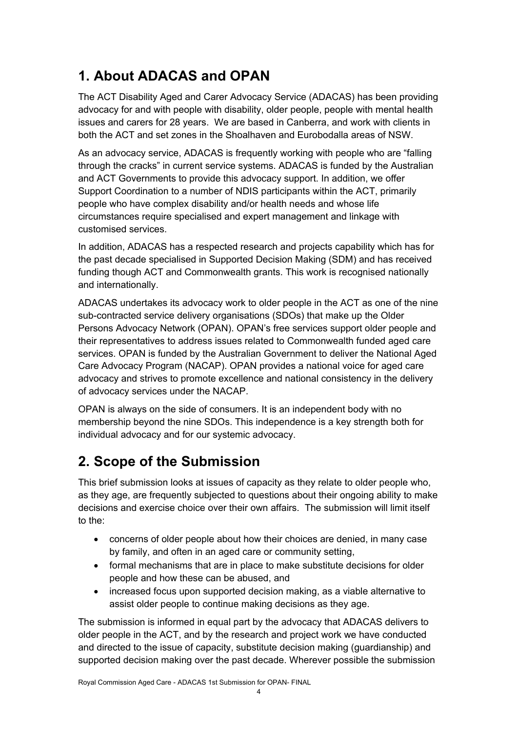# **1. About ADACAS and OPAN**

The ACT Disability Aged and Carer Advocacy Service (ADACAS) has been providing advocacy for and with people with disability, older people, people with mental health issues and carers for 28 years. We are based in Canberra, and work with clients in both the ACT and set zones in the Shoalhaven and Eurobodalla areas of NSW.

As an advocacy service, ADACAS is frequently working with people who are "falling through the cracks" in current service systems. ADACAS is funded by the Australian and ACT Governments to provide this advocacy support. In addition, we offer Support Coordination to a number of NDIS participants within the ACT, primarily people who have complex disability and/or health needs and whose life circumstances require specialised and expert management and linkage with customised services.

In addition, ADACAS has a respected research and projects capability which has for the past decade specialised in Supported Decision Making (SDM) and has received funding though ACT and Commonwealth grants. This work is recognised nationally and internationally.

ADACAS undertakes its advocacy work to older people in the ACT as one of the nine sub-contracted service delivery organisations (SDOs) that make up the Older Persons Advocacy Network (OPAN). OPAN's free services support older people and their representatives to address issues related to Commonwealth funded aged care services. OPAN is funded by the Australian Government to deliver the National Aged Care Advocacy Program (NACAP). OPAN provides a national voice for aged care advocacy and strives to promote excellence and national consistency in the delivery of advocacy services under the NACAP.

OPAN is always on the side of consumers. It is an independent body with no membership beyond the nine SDOs. This independence is a key strength both for individual advocacy and for our systemic advocacy.

# **2. Scope of the Submission**

This brief submission looks at issues of capacity as they relate to older people who, as they age, are frequently subjected to questions about their ongoing ability to make decisions and exercise choice over their own affairs. The submission will limit itself to the:

- concerns of older people about how their choices are denied, in many case by family, and often in an aged care or community setting,
- formal mechanisms that are in place to make substitute decisions for older people and how these can be abused, and
- increased focus upon supported decision making, as a viable alternative to assist older people to continue making decisions as they age.

The submission is informed in equal part by the advocacy that ADACAS delivers to older people in the ACT, and by the research and project work we have conducted and directed to the issue of capacity, substitute decision making (guardianship) and supported decision making over the past decade. Wherever possible the submission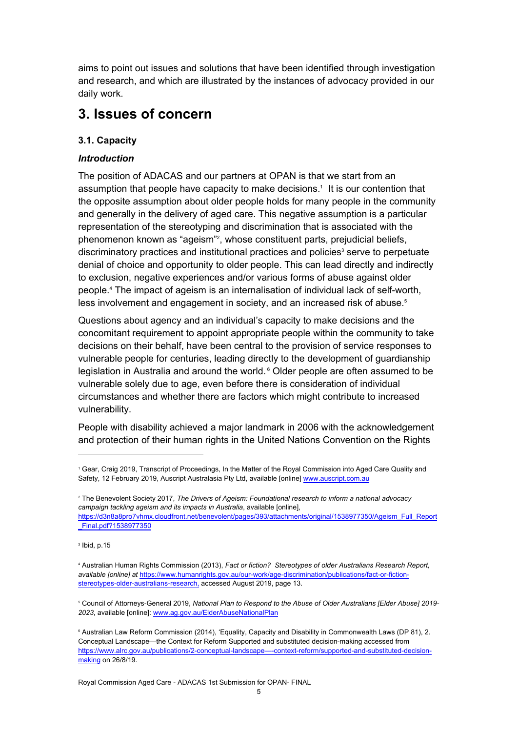aims to point out issues and solutions that have been identified through investigation and research, and which are illustrated by the instances of advocacy provided in our daily work.

### **3. Issues of concern**

#### **3.1. Capacity**

#### *Introduction*

The position of ADACAS and our partners at OPAN is that we start from an assumption that people have capacity to make decisions.<sup>1</sup> It is our contention that the opposite assumption about older people holds for many people in the community and generally in the delivery of aged care. This negative assumption is a particular representation of the stereotyping and discrimination that is associated with the phenomenon known as "ageism"<sup>2</sup>, whose constituent parts, prejudicial beliefs, discriminatory practices and institutional practices and policies<sup>3</sup> serve to perpetuate denial of choice and opportunity to older people. This can lead directly and indirectly to exclusion, negative experiences and/or various forms of abuse against older people.<sup>4</sup> The impact of ageism is an internalisation of individual lack of self-worth, less involvement and engagement in society, and an increased risk of abuse.<sup>5</sup>

Questions about agency and an individual's capacity to make decisions and the concomitant requirement to appoint appropriate people within the community to take decisions on their behalf, have been central to the provision of service responses to vulnerable people for centuries, leading directly to the development of guardianship legislation in Australia and around the world. <sup>6</sup> Older people are often assumed to be vulnerable solely due to age, even before there is consideration of individual circumstances and whether there are factors which might contribute to increased vulnerability.

People with disability achieved a major landmark in 2006 with the acknowledgement and protection of their human rights in the United Nations Convention on the Rights

<sup>1</sup> Gear, Craig 2019, Transcript of Proceedings, In the Matter of the Royal Commission into Aged Care Quality and Safety, 12 February 2019, Auscript Australasia Pty Ltd, available [online] [www.auscript.com.au](http://www.auscript.com.au)

<sup>2</sup> The Benevolent Society 2017, *The Drivers of Ageism: Foundational research to inform a national advocacy campaign tackling ageism and its impacts in Australia*, available [online], [https://d3n8a8pro7vhmx.cloudfront.net/benevolent/pages/393/attachments/original/1538977350/Ageism\\_Full\\_Report](https://d3n8a8pro7vhmx.cloudfront.net/benevolent/pages/393/attachments/original/1538977350/Ageism_Full_Report_Final.pdf?1538977350) [\\_Final.pdf?1538977350](https://d3n8a8pro7vhmx.cloudfront.net/benevolent/pages/393/attachments/original/1538977350/Ageism_Full_Report_Final.pdf?1538977350)

 $^3$  Ibid, p.15

<sup>4</sup> Australian Human Rights Commission (2013), *Fact or fiction? Stereotypes of older Australians Research Report, available [online] at* [https://www.humanrights.gov.au/our-work/age-discrimination/publications/fact-or-fiction](https://www.humanrights.gov.au/our-work/age-discrimination/publications/fact-or-fiction-stereotypes-older-australians-research)[stereotypes-older-australians-research,](https://www.humanrights.gov.au/our-work/age-discrimination/publications/fact-or-fiction-stereotypes-older-australians-research) accessed August 2019, page 13.

<sup>5</sup> Council of Attorneys-General 2019, *National Plan to Respond to the Abuse of Older Australians [Elder Abuse] 2019- 2023*, available [online]: [www.ag.gov.au/ElderAbuseNationalPlan](http://www.ag.gov.au/ElderAbuseNationalPlan)

<sup>6</sup> Australian Law Reform Commission (2014), 'Equality, Capacity and Disability in Commonwealth Laws (DP 81), 2. Conceptual Landscape—the Context for Reform Supported and substituted decision-making accessed from [https://www.alrc.gov.au/publications/2-conceptual-landscape—-context-reform/supported-and-substituted-decision](https://www.alrc.gov.au/publications/2-conceptual-landscape—-context-reform/supported-and-substituted-decision-making)[making](https://www.alrc.gov.au/publications/2-conceptual-landscape—-context-reform/supported-and-substituted-decision-making) on 26/8/19.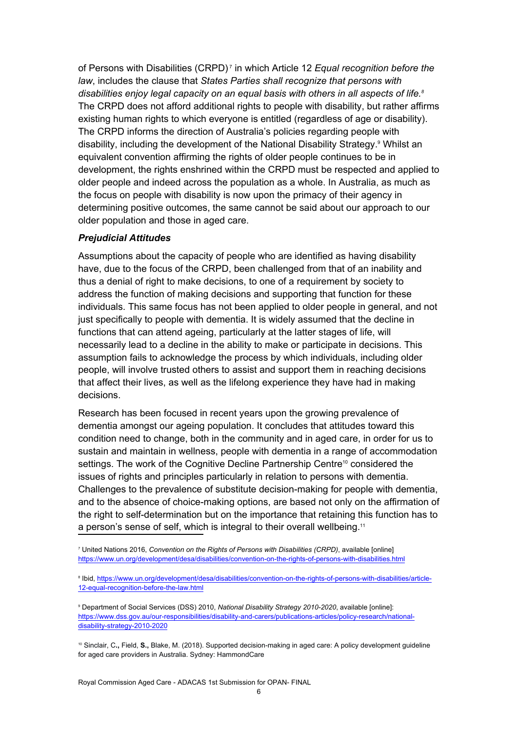of Persons with Disabilities (CRPD) <sup>7</sup> in which Article 12 *Equal recognition before the law*, includes the clause that *States Parties shall recognize that persons with disabilities enjoy legal capacity on an equal basis with others in all aspects of life.<sup>8</sup>* The CRPD does not afford additional rights to people with disability, but rather affirms existing human rights to which everyone is entitled (regardless of age or disability). The CRPD informs the direction of Australia's policies regarding people with disability, including the development of the National Disability Strategy.<sup>9</sup> Whilst an equivalent convention affirming the rights of older people continues to be in development, the rights enshrined within the CRPD must be respected and applied to older people and indeed across the population as a whole. In Australia, as much as the focus on people with disability is now upon the primacy of their agency in determining positive outcomes, the same cannot be said about our approach to our older population and those in aged care.

#### *Prejudicial Attitudes*

Assumptions about the capacity of people who are identified as having disability have, due to the focus of the CRPD, been challenged from that of an inability and thus a denial of right to make decisions, to one of a requirement by society to address the function of making decisions and supporting that function for these individuals. This same focus has not been applied to older people in general, and not just specifically to people with dementia. It is widely assumed that the decline in functions that can attend ageing, particularly at the latter stages of life, will necessarily lead to a decline in the ability to make or participate in decisions. This assumption fails to acknowledge the process by which individuals, including older people, will involve trusted others to assist and support them in reaching decisions that affect their lives, as well as the lifelong experience they have had in making decisions.

Research has been focused in recent years upon the growing prevalence of dementia amongst our ageing population. It concludes that attitudes toward this condition need to change, both in the community and in aged care, in order for us to sustain and maintain in wellness, people with dementia in a range of accommodation settings. The work of the Cognitive Decline Partnership Centre<sup>10</sup> considered the issues of rights and principles particularly in relation to persons with dementia. Challenges to the prevalence of substitute decision-making for people with dementia, and to the absence of choice-making options, are based not only on the affirmation of the right to self-determination but on the importance that retaining this function has to a person's sense of self, which is integral to their overall wellbeing.<sup>11</sup>

7 United Nations 2016, *Convention on the Rights of Persons with Disabilities (CRPD)*, available [online] <https://www.un.org/development/desa/disabilities/convention-on-the-rights-of-persons-with-disabilities.html>

8 Ibid, [https://www.un.org/development/desa/disabilities/convention-on-the-rights-of-persons-with-disabilities/article-](https://www.un.org/development/desa/disabilities/convention-on-the-rights-of-persons-with-disabilities/article-12-equal-recognition-before-the-law.html)[12-equal-recognition-before-the-law.html](https://www.un.org/development/desa/disabilities/convention-on-the-rights-of-persons-with-disabilities/article-12-equal-recognition-before-the-law.html)

9 Department of Social Services (DSS) 2010, *National Disability Strategy 2010-2020*, available [online]: [https://www.dss.gov.au/our-responsibilities/disability-and-carers/publications-articles/policy-research/national](https://www.dss.gov.au/our-responsibilities/disability-and-carers/publications-articles/policy-research/national-disability-strategy-2010-2020)[disability-strategy-2010-2020](https://www.dss.gov.au/our-responsibilities/disability-and-carers/publications-articles/policy-research/national-disability-strategy-2010-2020)

<sup>10</sup> Sinclair, C**.,** Field, **S.,** Blake, M. (2018). Supported decision-making in aged care: A policy development guideline for aged care providers in Australia. Sydney: HammondCare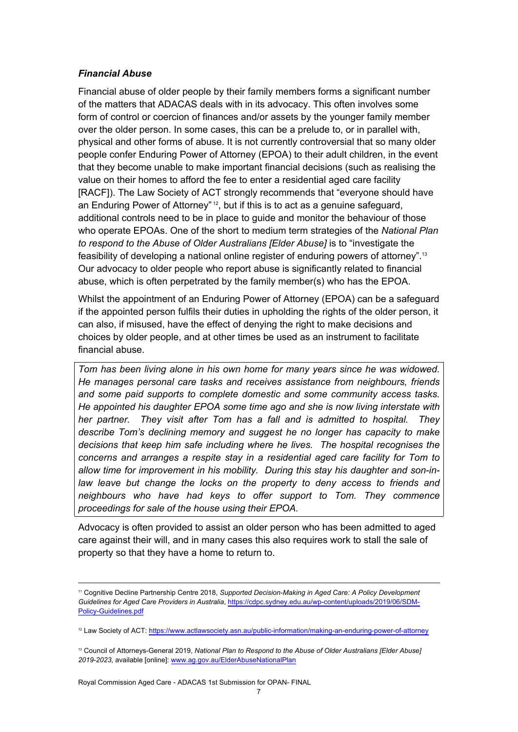#### *Financial Abuse*

Financial abuse of older people by their family members forms a significant number of the matters that ADACAS deals with in its advocacy. This often involves some form of control or coercion of finances and/or assets by the younger family member over the older person. In some cases, this can be a prelude to, or in parallel with, physical and other forms of abuse. It is not currently controversial that so many older people confer Enduring Power of Attorney (EPOA) to their adult children, in the event that they become unable to make important financial decisions (such as realising the value on their homes to afford the fee to enter a residential aged care facility [RACF]). The Law Society of ACT strongly recommends that "everyone should have an Enduring Power of Attorney"<sup>12</sup>, but if this is to act as a genuine safeguard, additional controls need to be in place to guide and monitor the behaviour of those who operate EPOAs. One of the short to medium term strategies of the *National Plan to respond to the Abuse of Older Australians [Elder Abuse]* is to "investigate the feasibility of developing a national online register of enduring powers of attorney".<sup>13</sup> Our advocacy to older people who report abuse is significantly related to financial abuse, which is often perpetrated by the family member(s) who has the EPOA.

Whilst the appointment of an Enduring Power of Attorney (EPOA) can be a safeguard if the appointed person fulfils their duties in upholding the rights of the older person, it can also, if misused, have the effect of denying the right to make decisions and choices by older people, and at other times be used as an instrument to facilitate financial abuse.

*Tom has been living alone in his own home for many years since he was widowed. He manages personal care tasks and receives assistance from neighbours, friends and some paid supports to complete domestic and some community access tasks. He appointed his daughter EPOA some time ago and she is now living interstate with her partner. They visit after Tom has a fall and is admitted to hospital. They describe Tom's declining memory and suggest he no longer has capacity to make decisions that keep him safe including where he lives. The hospital recognises the concerns and arranges a respite stay in a residential aged care facility for Tom to allow time for improvement in his mobility. During this stay his daughter and son-in*law leave but change the locks on the property to deny access to friends and *neighbours who have had keys to offer support to Tom. They commence proceedings for sale of the house using their EPOA.*

Advocacy is often provided to assist an older person who has been admitted to aged care against their will, and in many cases this also requires work to stall the sale of property so that they have a home to return to.

<sup>11</sup> Cognitive Decline Partnership Centre 2018, *Supported Decision-Making in Aged Care: A Policy Development Guidelines for Aged Care Providers in Australia*, [https://cdpc.sydney.edu.au/wp-content/uploads/2019/06/SDM-](https://cdpc.sydney.edu.au/wp-content/uploads/2019/06/SDM-Policy-Guidelines.pdf)[Policy-Guidelines.pdf](https://cdpc.sydney.edu.au/wp-content/uploads/2019/06/SDM-Policy-Guidelines.pdf)

<sup>12</sup> Law Society of ACT:<https://www.actlawsociety.asn.au/public-information/making-an-enduring-power-of-attorney>

<sup>&</sup>lt;sup>13</sup> Council of Attorneys-General 2019, *National Plan to Respond to the Abuse of Older Australians [Elder Abuse] 2019-2023*, available [online]: [www.ag.gov.au/ElderAbuseNationalPlan](http://www.ag.gov.au/ElderAbuseNationalPlan)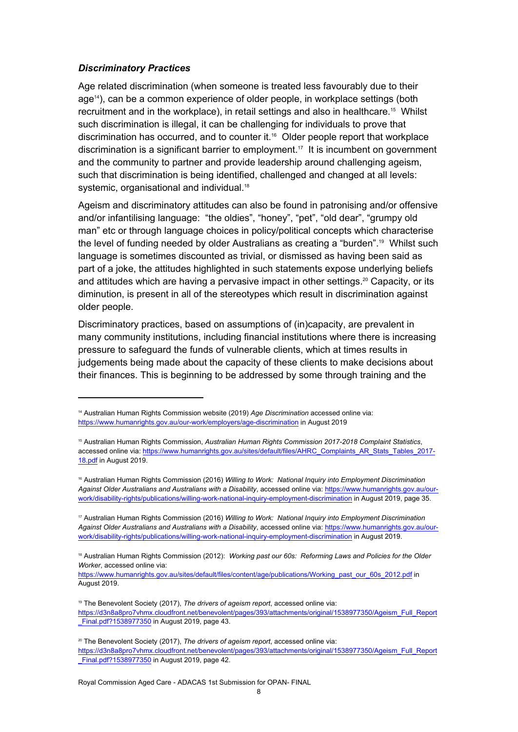#### *Discriminatory Practices*

Age related discrimination (when someone is treated less favourably due to their age14), can be a common experience of older people, in workplace settings (both recruitment and in the workplace), in retail settings and also in healthcare.15 Whilst such discrimination is illegal, it can be challenging for individuals to prove that discrimination has occurred, and to counter it.16 Older people report that workplace discrimination is a significant barrier to employment.<sup>17</sup> It is incumbent on government and the community to partner and provide leadership around challenging ageism, such that discrimination is being identified, challenged and changed at all levels: systemic, organisational and individual.<sup>18</sup>

Ageism and discriminatory attitudes can also be found in patronising and/or offensive and/or infantilising language: "the oldies", "honey", "pet", "old dear", "grumpy old man" etc or through language choices in policy/political concepts which characterise the level of funding needed by older Australians as creating a "burden".19 Whilst such language is sometimes discounted as trivial, or dismissed as having been said as part of a joke, the attitudes highlighted in such statements expose underlying beliefs and attitudes which are having a pervasive impact in other settings.<sup>20</sup> Capacity, or its diminution, is present in all of the stereotypes which result in discrimination against older people.

Discriminatory practices, based on assumptions of (in)capacity, are prevalent in many community institutions, including financial institutions where there is increasing pressure to safeguard the funds of vulnerable clients, which at times results in judgements being made about the capacity of these clients to make decisions about their finances. This is beginning to be addressed by some through training and the

<sup>16</sup> Australian Human Rights Commission (2016) *Willing to Work: National Inquiry into Employment Discrimination Against Older Australians and Australians with a Disability*, accessed online via: [https://www.humanrights.gov.au/our](https://www.humanrights.gov.au/our-work/disability-rights/publications/willing-work-national-inquiry-employment-discrimination)[work/disability-rights/publications/willing-work-national-inquiry-employment-discrimination](https://www.humanrights.gov.au/our-work/disability-rights/publications/willing-work-national-inquiry-employment-discrimination) in August 2019, page 35.

<sup>17</sup> Australian Human Rights Commission (2016) *Willing to Work: National Inquiry into Employment Discrimination Against Older Australians and Australians with a Disability*, accessed online via: [https://www.humanrights.gov.au/our](https://www.humanrights.gov.au/our-work/disability-rights/publications/willing-work-national-inquiry-employment-discrimination)[work/disability-rights/publications/willing-work-national-inquiry-employment-discrimination](https://www.humanrights.gov.au/our-work/disability-rights/publications/willing-work-national-inquiry-employment-discrimination) in August 2019.

<sup>14</sup> Australian Human Rights Commission website (2019) *Age Discrimination* accessed online via: <https://www.humanrights.gov.au/our-work/employers/age-discrimination> in August 2019

<sup>15</sup> Australian Human Rights Commission, *Australian Human Rights Commission 2017-2018 Complaint Statistics*, accessed online via: [https://www.humanrights.gov.au/sites/default/files/AHRC\\_Complaints\\_AR\\_Stats\\_Tables\\_2017-](https://www.humanrights.gov.au/sites/default/files/AHRC_Complaints_AR_Stats_Tables_2017-18.pdf) [18.pdf](https://www.humanrights.gov.au/sites/default/files/AHRC_Complaints_AR_Stats_Tables_2017-18.pdf) in August 2019.

<sup>18</sup> Australian Human Rights Commission (2012): *Working past our 60s: Reforming Laws and Policies for the Older Worker*, accessed online via:

[https://www.humanrights.gov.au/sites/default/files/content/age/publications/Working\\_past\\_our\\_60s\\_2012.pdf](https://www.humanrights.gov.au/sites/default/files/content/age/publications/Working_past_our_60s_2012.pdf) in August 2019.

<sup>19</sup> The Benevolent Society (2017), *The drivers of ageism report*, accessed online via: [https://d3n8a8pro7vhmx.cloudfront.net/benevolent/pages/393/attachments/original/1538977350/Ageism\\_Full\\_Report](https://d3n8a8pro7vhmx.cloudfront.net/benevolent/pages/393/attachments/original/1538977350/Ageism_Full_Report_Final.pdf?1538977350) [\\_Final.pdf?1538977350](https://d3n8a8pro7vhmx.cloudfront.net/benevolent/pages/393/attachments/original/1538977350/Ageism_Full_Report_Final.pdf?1538977350) in August 2019, page 43.

<sup>20</sup> The Benevolent Society (2017), *The drivers of ageism report*, accessed online via: [https://d3n8a8pro7vhmx.cloudfront.net/benevolent/pages/393/attachments/original/1538977350/Ageism\\_Full\\_Report](https://d3n8a8pro7vhmx.cloudfront.net/benevolent/pages/393/attachments/original/1538977350/Ageism_Full_Report_Final.pdf?1538977350) [\\_Final.pdf?1538977350](https://d3n8a8pro7vhmx.cloudfront.net/benevolent/pages/393/attachments/original/1538977350/Ageism_Full_Report_Final.pdf?1538977350) in August 2019, page 42.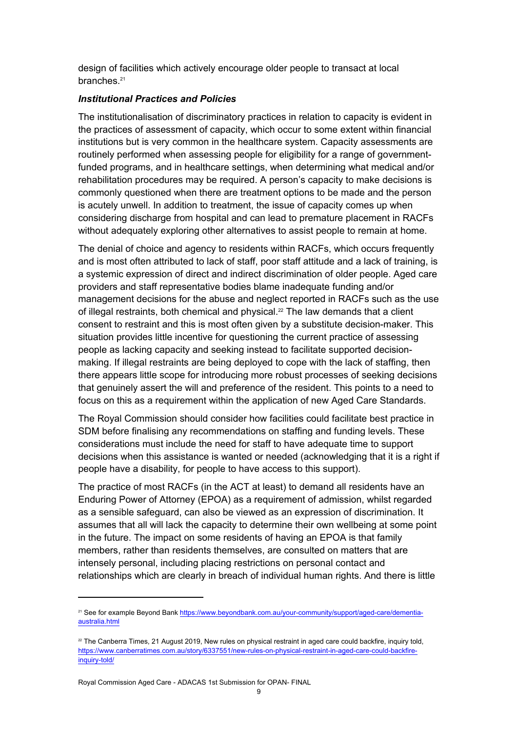design of facilities which actively encourage older people to transact at local branches.<sup>21</sup>

#### *Institutional Practices and Policies*

The institutionalisation of discriminatory practices in relation to capacity is evident in the practices of assessment of capacity, which occur to some extent within financial institutions but is very common in the healthcare system. Capacity assessments are routinely performed when assessing people for eligibility for a range of governmentfunded programs, and in healthcare settings, when determining what medical and/or rehabilitation procedures may be required. A person's capacity to make decisions is commonly questioned when there are treatment options to be made and the person is acutely unwell. In addition to treatment, the issue of capacity comes up when considering discharge from hospital and can lead to premature placement in RACFs without adequately exploring other alternatives to assist people to remain at home.

The denial of choice and agency to residents within RACFs, which occurs frequently and is most often attributed to lack of staff, poor staff attitude and a lack of training, is a systemic expression of direct and indirect discrimination of older people. Aged care providers and staff representative bodies blame inadequate funding and/or management decisions for the abuse and neglect reported in RACFs such as the use of illegal restraints, both chemical and physical.22 The law demands that a client consent to restraint and this is most often given by a substitute decision-maker. This situation provides little incentive for questioning the current practice of assessing people as lacking capacity and seeking instead to facilitate supported decisionmaking. If illegal restraints are being deployed to cope with the lack of staffing, then there appears little scope for introducing more robust processes of seeking decisions that genuinely assert the will and preference of the resident. This points to a need to focus on this as a requirement within the application of new Aged Care Standards.

The Royal Commission should consider how facilities could facilitate best practice in SDM before finalising any recommendations on staffing and funding levels. These considerations must include the need for staff to have adequate time to support decisions when this assistance is wanted or needed (acknowledging that it is a right if people have a disability, for people to have access to this support).

The practice of most RACFs (in the ACT at least) to demand all residents have an Enduring Power of Attorney (EPOA) as a requirement of admission, whilst regarded as a sensible safeguard, can also be viewed as an expression of discrimination. It assumes that all will lack the capacity to determine their own wellbeing at some point in the future. The impact on some residents of having an EPOA is that family members, rather than residents themselves, are consulted on matters that are intensely personal, including placing restrictions on personal contact and relationships which are clearly in breach of individual human rights. And there is little

<sup>&</sup>lt;sup>21</sup> See for example Beyond Bank [https://www.beyondbank.com.au/your-community/support/aged-care/dementia](https://www.beyondbank.com.au/your-community/support/aged-care/dementia-australia.html)[australia.html](https://www.beyondbank.com.au/your-community/support/aged-care/dementia-australia.html)

 $22$  The Canberra Times, 21 August 2019, New rules on physical restraint in aged care could backfire, inquiry told, [https://www.canberratimes.com.au/story/6337551/new-rules-on-physical-restraint-in-aged-care-could-backfire](https://www.canberratimes.com.au/story/6337551/new-rules-on-physical-restraint-in-aged-care-could-backfire-inquiry-told/)[inquiry-told/](https://www.canberratimes.com.au/story/6337551/new-rules-on-physical-restraint-in-aged-care-could-backfire-inquiry-told/)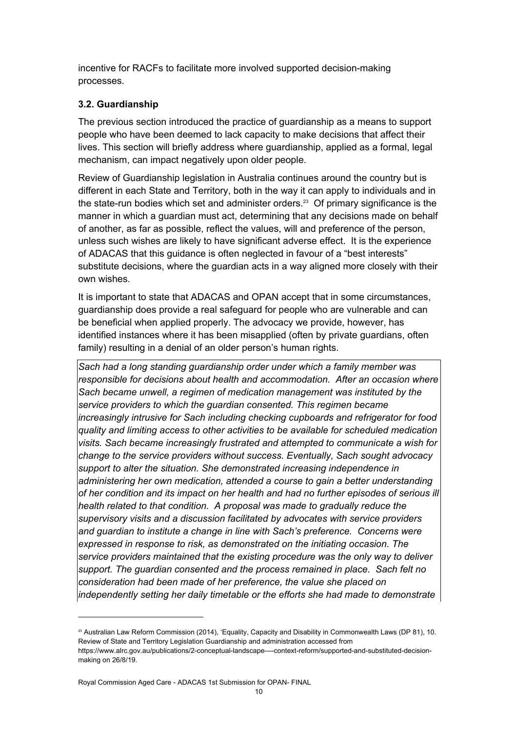incentive for RACFs to facilitate more involved supported decision-making processes.

#### **3.2. Guardianship**

The previous section introduced the practice of guardianship as a means to support people who have been deemed to lack capacity to make decisions that affect their lives. This section will briefly address where guardianship, applied as a formal, legal mechanism, can impact negatively upon older people.

Review of Guardianship legislation in Australia continues around the country but is different in each State and Territory, both in the way it can apply to individuals and in the state-run bodies which set and administer orders.<sup>23</sup> Of primary significance is the manner in which a guardian must act, determining that any decisions made on behalf of another, as far as possible, reflect the values, will and preference of the person, unless such wishes are likely to have significant adverse effect. It is the experience of ADACAS that this guidance is often neglected in favour of a "best interests" substitute decisions, where the guardian acts in a way aligned more closely with their own wishes.

It is important to state that ADACAS and OPAN accept that in some circumstances, guardianship does provide a real safeguard for people who are vulnerable and can be beneficial when applied properly. The advocacy we provide, however, has identified instances where it has been misapplied (often by private guardians, often family) resulting in a denial of an older person's human rights.

*Sach had a long standing guardianship order under which a family member was responsible for decisions about health and accommodation. After an occasion where Sach became unwell, a regimen of medication management was instituted by the service providers to which the guardian consented. This regimen became increasingly intrusive for Sach including checking cupboards and refrigerator for food quality and limiting access to other activities to be available for scheduled medication visits. Sach became increasingly frustrated and attempted to communicate a wish for change to the service providers without success. Eventually, Sach sought advocacy support to alter the situation. She demonstrated increasing independence in administering her own medication, attended a course to gain a better understanding of her condition and its impact on her health and had no further episodes of serious ill health related to that condition. A proposal was made to gradually reduce the supervisory visits and a discussion facilitated by advocates with service providers and guardian to institute a change in line with Sach's preference. Concerns were expressed in response to risk, as demonstrated on the initiating occasion. The service providers maintained that the existing procedure was the only way to deliver support. The guardian consented and the process remained in place. Sach felt no consideration had been made of her preference, the value she placed on independently setting her daily timetable or the efforts she had made to demonstrate* 

<sup>&</sup>lt;sup>23</sup> Australian Law Reform Commission (2014), 'Equality, Capacity and Disability in Commonwealth Laws (DP 81), 10. Review of State and Territory Legislation Guardianship and administration accessed from https://www.alrc.gov.au/publications/2-conceptual-landscape—-context-reform/supported-and-substituted-decisionmaking on 26/8/19.

Royal Commission Aged Care - ADACAS 1st Submission for OPAN- FINAL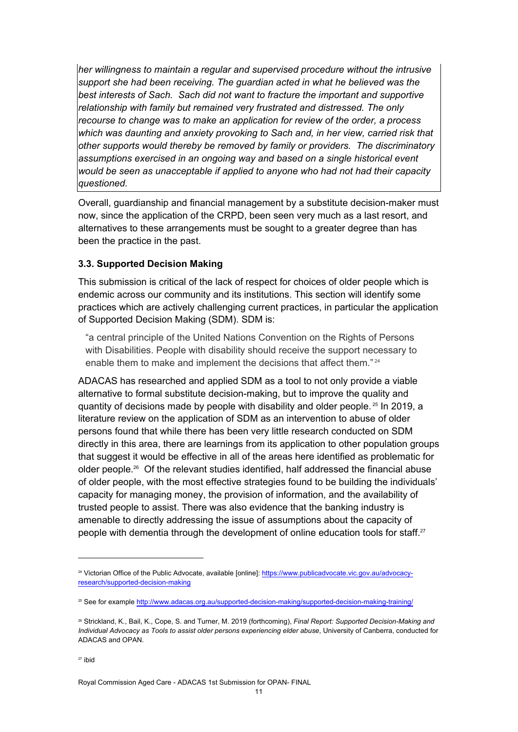*her willingness to maintain a regular and supervised procedure without the intrusive support she had been receiving. The guardian acted in what he believed was the best interests of Sach. Sach did not want to fracture the important and supportive relationship with family but remained very frustrated and distressed. The only recourse to change was to make an application for review of the order, a process*  which was daunting and anxiety provoking to Sach and, in her view, carried risk that *other supports would thereby be removed by family or providers. The discriminatory assumptions exercised in an ongoing way and based on a single historical event would be seen as unacceptable if applied to anyone who had not had their capacity questioned.*

Overall, guardianship and financial management by a substitute decision-maker must now, since the application of the CRPD, been seen very much as a last resort, and alternatives to these arrangements must be sought to a greater degree than has been the practice in the past.

#### **3.3. Supported Decision Making**

This submission is critical of the lack of respect for choices of older people which is endemic across our community and its institutions. This section will identify some practices which are actively challenging current practices, in particular the application of Supported Decision Making (SDM). SDM is:

"a central principle of the United Nations Convention on the Rights of Persons with Disabilities. People with disability should receive the support necessary to enable them to make and implement the decisions that affect them." <sup>24</sup>

ADACAS has researched and applied SDM as a tool to not only provide a viable alternative to formal substitute decision-making, but to improve the quality and quantity of decisions made by people with disability and older people. <sup>25</sup> In 2019, a literature review on the application of SDM as an intervention to abuse of older persons found that while there has been very little research conducted on SDM directly in this area, there are learnings from its application to other population groups that suggest it would be effective in all of the areas here identified as problematic for older people.26 Of the relevant studies identified, half addressed the financial abuse of older people, with the most effective strategies found to be building the individuals' capacity for managing money, the provision of information, and the availability of trusted people to assist. There was also evidence that the banking industry is amenable to directly addressing the issue of assumptions about the capacity of people with dementia through the development of online education tools for staff.<sup>27</sup>

<sup>24</sup> Victorian Office of the Public Advocate, available [online]: [https://www.publicadvocate.vic.gov.au/advocacy](https://www.publicadvocate.vic.gov.au/advocacy-research/supported-decision-making)[research/supported-decision-making](https://www.publicadvocate.vic.gov.au/advocacy-research/supported-decision-making)

<sup>&</sup>lt;sup>25</sup> See for example <http://www.adacas.org.au/supported-decision-making/supported-decision-making-training/>

<sup>26</sup> Strickland, K., Bail, K., Cope, S. and Turner, M. 2019 (forthcoming), *Final Report: Supported Decision-Making and Individual Advocacy as Tools to assist older persons experiencing elder abuse*, University of Canberra, conducted for ADACAS and OPAN.

Royal Commission Aged Care - ADACAS 1st Submission for OPAN- FINAL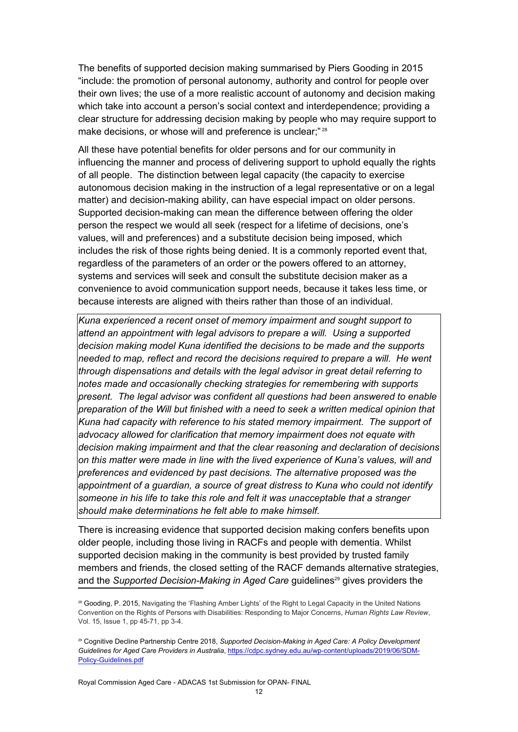The benefits of supported decision making summarised by Piers Gooding in 2015 "include: the promotion of personal autonomy, authority and control for people over their own lives; the use of a more realistic account of autonomy and decision making which take into account a person's social context and interdependence; providing a clear structure for addressing decision making by people who may require support to make decisions, or whose will and preference is unclear;"<sup>28</sup>

All these have potential benefits for older persons and for our community in influencing the manner and process of delivering support to uphold equally the rights of all people. The distinction between legal capacity (the capacity to exercise autonomous decision making in the instruction of a legal representative or on a legal matter) and decision-making ability, can have especial impact on older persons. Supported decision-making can mean the difference between offering the older person the respect we would all seek (respect for a lifetime of decisions, one's values, will and preferences) and a substitute decision being imposed, which includes the risk of those rights being denied. It is a commonly reported event that, regardless of the parameters of an order or the powers offered to an attorney, systems and services will seek and consult the substitute decision maker as a convenience to avoid communication support needs, because it takes less time, or because interests are aligned with theirs rather than those of an individual.

*Kuna experienced a recent onset of memory impairment and sought support to attend an appointment with legal advisors to prepare a will. Using a supported decision making model Kuna identified the decisions to be made and the supports needed to map, reflect and record the decisions required to prepare a will. He went through dispensations and details with the legal advisor in great detail referring to notes made and occasionally checking strategies for remembering with supports present. The legal advisor was confident all questions had been answered to enable preparation of the Will but finished with a need to seek a written medical opinion that Kuna had capacity with reference to his stated memory impairment. The support of advocacy allowed for clarification that memory impairment does not equate with decision making impairment and that the clear reasoning and declaration of decisions on this matter were made in line with the lived experience of Kuna's values, will and preferences and evidenced by past decisions. The alternative proposed was the appointment of a guardian, a source of great distress to Kuna who could not identify someone in his life to take this role and felt it was unacceptable that a stranger should make determinations he felt able to make himself.*

There is increasing evidence that supported decision making confers benefits upon older people, including those living in RACFs and people with dementia. Whilst supported decision making in the community is best provided by trusted family members and friends, the closed setting of the RACF demands alternative strategies, and the *Supported Decision-Making in Aged Care* guidelines<sup>29</sup> gives providers the

<sup>28</sup> Gooding, P. 2015, Navigating the 'Flashing Amber Lights' of the Right to Legal Capacity in the United Nations Convention on the Rights of Persons with Disabilities: Responding to Major Concerns, *Human Rights Law Review*, Vol. 15, Issue 1, pp 45-71, pp 3-4.

<sup>29</sup> Cognitive Decline Partnership Centre 2018, *Supported Decision-Making in Aged Care: A Policy Development Guidelines for Aged Care Providers in Australia*, [https://cdpc.sydney.edu.au/wp-content/uploads/2019/06/SDM-](https://cdpc.sydney.edu.au/wp-content/uploads/2019/06/SDM-Policy-Guidelines.pdf)[Policy-Guidelines.pdf](https://cdpc.sydney.edu.au/wp-content/uploads/2019/06/SDM-Policy-Guidelines.pdf)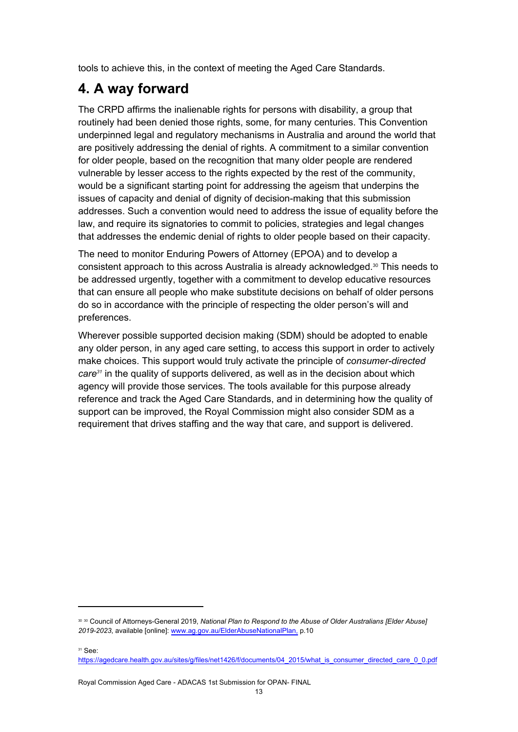tools to achieve this, in the context of meeting the Aged Care Standards.

## **4. A way forward**

The CRPD affirms the inalienable rights for persons with disability, a group that routinely had been denied those rights, some, for many centuries. This Convention underpinned legal and regulatory mechanisms in Australia and around the world that are positively addressing the denial of rights. A commitment to a similar convention for older people, based on the recognition that many older people are rendered vulnerable by lesser access to the rights expected by the rest of the community, would be a significant starting point for addressing the ageism that underpins the issues of capacity and denial of dignity of decision-making that this submission addresses. Such a convention would need to address the issue of equality before the law, and require its signatories to commit to policies, strategies and legal changes that addresses the endemic denial of rights to older people based on their capacity.

The need to monitor Enduring Powers of Attorney (EPOA) and to develop a consistent approach to this across Australia is already acknowledged.30 This needs to be addressed urgently, together with a commitment to develop educative resources that can ensure all people who make substitute decisions on behalf of older persons do so in accordance with the principle of respecting the older person's will and preferences.

Wherever possible supported decision making (SDM) should be adopted to enable any older person, in any aged care setting, to access this support in order to actively make choices. This support would truly activate the principle of *consumer-directed care31* in the quality of supports delivered, as well as in the decision about which agency will provide those services. The tools available for this purpose already reference and track the Aged Care Standards, and in determining how the quality of support can be improved, the Royal Commission might also consider SDM as a requirement that drives staffing and the way that care, and support is delivered.

<sup>31</sup> See: [https://agedcare.health.gov.au/sites/g/files/net1426/f/documents/04\\_2015/what\\_is\\_consumer\\_directed\\_care\\_0\\_0.pdf](https://agedcare.health.gov.au/sites/g/files/net1426/f/documents/04_2015/what_is_consumer_directed_care_0_0.pdf)

<sup>30 30</sup> Council of Attorneys-General 2019, *National Plan to Respond to the Abuse of Older Australians [Elder Abuse] 2019-2023*, available [online]: [www.ag.gov.au/ElderAbuseNationalPlan,](http://www.ag.gov.au/ElderAbuseNationalPlan) p.10

Royal Commission Aged Care - ADACAS 1st Submission for OPAN- FINAL